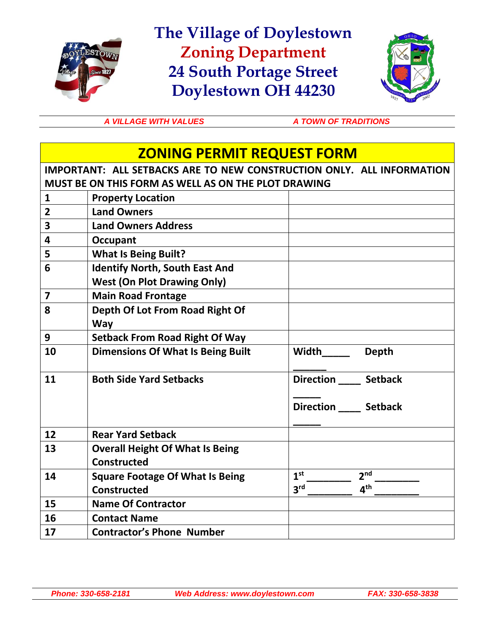

**The Village of Doylestown Zoning Department 24 South Portage Street Doylestown OH 44230**



A VILLAGE WITH VALUES A TOWN OF TRADITIONS

## **ZONING PERMIT REQUEST FORM**

**IMPORTANT: ALL SETBACKS ARE TO NEW CONSTRUCTION ONLY. ALL INFORMATION MUST BE ON THIS FORM AS WELL AS ON THE PLOT DRAWING**

| $\mathbf{1}$            | <b>Property Location</b>                 |                                             |
|-------------------------|------------------------------------------|---------------------------------------------|
| $\overline{2}$          | <b>Land Owners</b>                       |                                             |
| 3                       | <b>Land Owners Address</b>               |                                             |
| 4                       | Occupant                                 |                                             |
| 5                       | <b>What Is Being Built?</b>              |                                             |
| 6                       | <b>Identify North, South East And</b>    |                                             |
|                         | <b>West (On Plot Drawing Only)</b>       |                                             |
| $\overline{\mathbf{z}}$ | <b>Main Road Frontage</b>                |                                             |
| 8                       | Depth Of Lot From Road Right Of          |                                             |
|                         | <b>Way</b>                               |                                             |
| 9                       | <b>Setback From Road Right Of Way</b>    |                                             |
| 10                      | <b>Dimensions Of What Is Being Built</b> | Width<br>Depth                              |
|                         |                                          |                                             |
| 11                      | <b>Both Side Yard Setbacks</b>           | Direction _____ Setback                     |
|                         |                                          |                                             |
|                         |                                          |                                             |
|                         |                                          | Direction ______ Setback                    |
|                         |                                          |                                             |
| 12                      | <b>Rear Yard Setback</b>                 |                                             |
| 13                      | <b>Overall Height Of What Is Being</b>   |                                             |
|                         | <b>Constructed</b>                       |                                             |
| 14                      | <b>Square Footage Of What Is Being</b>   | 1 <sup>st</sup><br>2 <sup>nd</sup>          |
|                         | <b>Constructed</b>                       | 3 <sup>rd</sup><br>$\mathbf{A}^{\text{th}}$ |
| 15                      | <b>Name Of Contractor</b>                |                                             |
| 16                      | <b>Contact Name</b>                      |                                             |